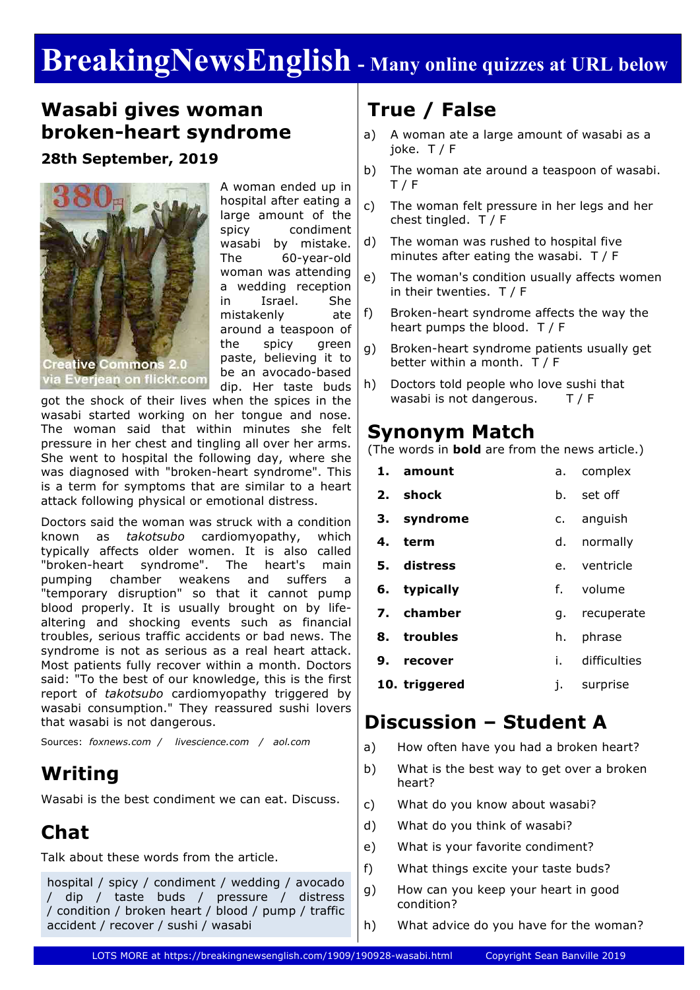# **BreakingNewsEnglish - Many online quizzes at URL below**

### **Wasabi gives woman broken-heart syndrome**

**28th September, 2019**



A woman ended up in hospital after eating a large amount of the spicy condiment wasabi by mistake. The 60-year-old woman was attending a wedding reception in Israel. She mistakenly ate around a teaspoon of the spicy green paste, believing it to be an avocado-based dip. Her taste buds

got the shock of their lives when the spices in the wasabi started working on her tongue and nose. The woman said that within minutes she felt pressure in her chest and tingling all over her arms. She went to hospital the following day, where she was diagnosed with "broken-heart syndrome". This is a term for symptoms that are similar to a heart attack following physical or emotional distress.

Doctors said the woman was struck with a condition known as *takotsubo* cardiomyopathy, which typically affects older women. It is also called "broken-heart syndrome". The heart's main pumping chamber weakens and suffers a "temporary disruption" so that it cannot pump blood properly. It is usually brought on by lifealtering and shocking events such as financial troubles, serious traffic accidents or bad news. The syndrome is not as serious as a real heart attack. Most patients fully recover within a month. Doctors said: "To the best of our knowledge, this is the first report of *takotsubo* cardiomyopathy triggered by wasabi consumption." They reassured sushi lovers that wasabi is not dangerous.

Sources: *foxnews.com / livescience.com / aol.com*

### **Writing**

Wasabi is the best condiment we can eat. Discuss.

# **Chat**

Talk about these words from the article.

hospital / spicy / condiment / wedding / avocado / dip / taste buds / pressure / distress / condition / broken heart / blood / pump / traffic accident / recover / sushi / wasabi

# **True / False**

- a) A woman ate a large amount of wasabi as a joke. T / F
- b) The woman ate around a teaspoon of wasabi. T / F
- c) The woman felt pressure in her legs and her chest tingled. T / F
- d) The woman was rushed to hospital five minutes after eating the wasabi. T / F
- e) The woman's condition usually affects women in their twenties. T / F
- f) Broken-heart syndrome affects the way the heart pumps the blood. T / F
- g) Broken-heart syndrome patients usually get better within a month. T / F
- h) Doctors told people who love sushi that wasabi is not dangerous.T / F

### **Synonym Match**

(The words in **bold** are from the news article.)

| 1. amount     |      | a. complex   |
|---------------|------|--------------|
| 2. shock      | b.   | set off      |
| 3. syndrome   | c.   | anguish      |
| 4. term       | d.   | normally     |
| 5. distress   |      | e. ventricle |
| 6. typically  |      | f. volume    |
| 7. chamber    | q. . | recuperate   |
| 8. troubles   | h.   | phrase       |
| 9. recover    | i. – | difficulties |
| 10. triggered | ı.   | surprise     |
|               |      |              |

### **Discussion – Student A**

- a) How often have you had a broken heart?
- b) What is the best way to get over a broken heart?
- c) What do you know about wasabi?
- d) What do you think of wasabi?
- e) What is your favorite condiment?
- f) What things excite your taste buds?
- g) How can you keep your heart in good condition?
- h) What advice do you have for the woman?